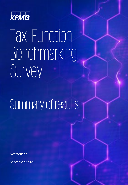

# Tax Function Benchmarking Survey

## Summary of results

**Switzerland —** September 2021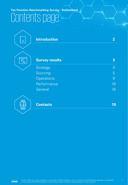### **Tax Function Benchmarking Survey - Switzerland** Contents page



### **Survey results 3** Strategy 3 and 3 and 3 and 3 and 3 and 3 and 3 and 3 and 3 and 3 and 3 and 3 and 3 and 3 and 3 and 3 and 3 and 3 and 3 and 3 and 3 and 3 and 3 and 3 and 3 and 3 and 3 and 3 and 3 and 3 and 3 and 3 and 3 and 3 and 3 and 3 a Sourcing 5 and 5 and 5 and 5 and 5 and 5 and 5 and 5 and 5 and 5 and 5 and 5 and 5 and 5 and 5 and 5 and 5 and 5 and 5 and 5 and 5 and 5 and 5 and 5 and 5 and 5 and 5 and 5 and 5 and 5 and 5 and 5 and 5 and 5 and 5 and 5 a Operations 30 and 200 and 200 and 200 and 200 and 200 and 200 and 200 and 200 and 200 and 200 and 200 and 200 Performance and the state of the 16 General 18

**Introduction 2**



**Contacts 19**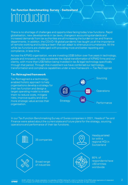### **Tax Function Benchmarking Survey - Switzerland** Introduction

There is no shortage of challenges and opportunities facing today's tax functions. Rapid globalisation, new developments in tax laws, changes in accounting standards and increased demands from tax authorities are all increasing the burden on tax and finance departments. In addition, the COVID-19 global pandemic has taught us all the importance of remote working and building a team that can adapt to strenuous circumstances. All the while tax functions are challenged with providing more and better reporting and compliance, in less time.

Across the KPMG organisation, we are investing US\$5 billion over five years in technology, people and innovation to help accelerate the digital transformation of KPMG firms and our clients, with more than US\$1billion being invested in tax & legal technology specifically through that period. Through this investment we have combined our technology, transformation and compliance capabilities under a new framework — Tax Reimagined.

#### **Tax Reimagined framework**

Tax Reimagined is a technologyenabled holistic approach to help organisations develop a strategy for their tax function and design a target operating model to enable them to reduce costs, mitigate risks, improve quality and drive more strategic value across their organisation.



In our Tax Function Benchmarking Survey of Swiss companies in 2021, Heads of Tax and Finance were asked about the current state and future plans for the strategy, sourcing, operations and performance of their tax functions.

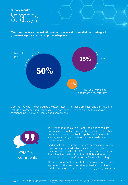### **Survey results** Strategy

**Most companies surveyed either already have a documented tax strategy / tax governance policy or plan to put one in place**



Common key points covered by the tax strategy – for those organisations that have one – include governance and responsibilities, as well as principles guiding tax planning, relationships with tax authorities and compliance.



- In Switzerland there are currently no plans to require companies to publish their tax strategy by law. In other countries, however, obligatory public disclosure of tax strategies is being considered or has already been implemented.
- Additionally, for a number of years tax transparency has been widely debated, which has led to a number of initiatives such as the OECD's Inclusive Framework on Base Erosion and Profit Shifting (BEPS) and reporting requirements such as Country by Country Reporting.
- Having a documented tax strategy or governance policy approved by the board, whether published or not, is a helpful first step towards demonstrating good governance.

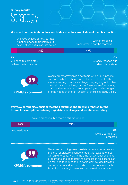### **Survey results** Strategy

#### **We asked companies how they would describe the current state of their tax function**

|    | We have an idea of how our tax<br>function needs to transform but<br>have not yet put a plan into action | Going through a<br>transformation at the moment    |
|----|----------------------------------------------------------------------------------------------------------|----------------------------------------------------|
|    | 44%                                                                                                      | 47%                                                |
| 6% | We need to completely<br>rethink the tax function                                                        | $3\%$<br>Already reached our<br>ideal future state |



Clearly, transformation is a hot topic within tax functions currently, whether this is due to the need to deal with ever-increasing compliance obligations, aligning with other internal transformations, such as finance transformations, or simply because the current operating model no longer **KPMG's comment** fits the needs of the tax function or the tax strategy vision.

#### **Very few companies consider that their tax functions are well prepared for the future, for example considering digital data exchange and real-time reporting**

#### **18% 79%** Not ready at all **3%** We are preparing, but there is still more to do We are completely prepared



Real-time reporting already exists in certain countries, and the level of digital exchange of data with tax authorities will only increase. Now is the time for tax functions to get prepared to ensure that future compliance obligations can be met and to reduce the risk of in-depth audits from tax authorities – or indeed be ready for what conclusions the tax authorities might draw from increased data access.

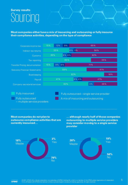**Most companies either have a mix of insourcing and outsourcing or fully insource their compliance activities, depending on the type of compliance**



Fully insourced

Fully outsourced – multiple service providers

Fully outsourced – single service provider A mix of insourcing and outsourcing

**Most companies do not plan to outsource compliance activities that are currently insourced…**

**… although nearly half of those companies outsourcing to multiple service providers may consider moving to a single service provider**





**KPMG**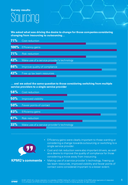**We asked what was driving the desire to change for those companies considering changing from insourcing to outsourcing…** 

| 71%  | Cost reduction                              |
|------|---------------------------------------------|
| 100% | <b>Efficiency gains</b>                     |
| 71%  | <b>Risk reduction</b>                       |
| 43%  | Make use of a service provider's technology |
| 86%  | Improve quality of compliance               |
| 43%  | Free up tax team resources                  |

#### **… and we asked the same question to those considering switching from multiple service providers to a single service provider**

| 58% | Cost reduction                              |
|-----|---------------------------------------------|
| 50% | Improved visibility                         |
| 50% | Fewer points of contact                     |
| 83% | <b>Efficiency gains</b>                     |
| 67% | <b>Risk reduction</b>                       |
| 33% | Make use of a service provider's technology |



- Efficiency gains were clearly important to those wanting or considering a change towards outsourcing or switching to a single service provider.
- Cost and risk reduction were also important drivers, as well as a desire to improve the quality of compliance for those considering a move away from insourcing.
- KPMG's comments Making use of a service provider's technology, freeing up tax team resources, improved visibility and fewer points of contact were considered important to a lesser extent.

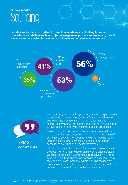**Besides tax technical expertise, tax function heads are also looking for more operational capabilities such as project management, process improvement, data & analytics and tax technology expertise when recruiting new team members**





- Making the right choice for your company with regards to inor outsourcing depends on your tax function's vision and strategy, whether you have the right resources and capabilities within tax or finance, and whether it make sense to leverage a third party provider for specific processes.
- Based on our survey results, Swiss companies employ a varied mix of in- and outsourcing depending on the type of compliance activity, however at KPMG we have noticed an increasing amount of companies looking to outsource compliance activities over the last few years.
- It is also increasingly common for us to receive requests for proposal (RFPs) that include multiple compliance services, whereas in the past it was unusual to receive an RFP that covered more than one or two compliance services. There may be significant untapped synergies to be realised by providing one data set to one service provider that could then be used to drive multiple compliance processes.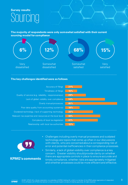#### **The majority of respondents were only somewhat satisfied with their current sourcing model for compliance**



#### **The key challenges identified were as follows**





- Challenges including overly manual processes and outdated technology are topics that come up often in our discussions with clients, who are concerned about a corresponding risk of error and potential inefficiencies in their compliance processes.
- Similarly, a lack of global visibility over compliance is a key concern. Greater visibility should provide clarity on whether there are appropriate controls in place to ensure accurate and timely compliance, whether risks are appropriately mitigated and whether processes could be more efficient and effective.

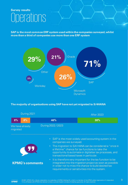**SAP is the most common ERP system used within the companies surveyed, whilst more than a third of companies use more than one ERP system**



#### **The majority of organisations using SAP have not yet migrated to S/4HANA**

|                             | During 2021 |                                                                                              | After 2023                                                                                                                                                                                                                                                                                                                                                                                                                                                               |
|-----------------------------|-------------|----------------------------------------------------------------------------------------------|--------------------------------------------------------------------------------------------------------------------------------------------------------------------------------------------------------------------------------------------------------------------------------------------------------------------------------------------------------------------------------------------------------------------------------------------------------------------------|
| 8%                          | 8%          | 46%                                                                                          | 38%                                                                                                                                                                                                                                                                                                                                                                                                                                                                      |
| We have already<br>migrated |             | During 2022 / 2023                                                                           |                                                                                                                                                                                                                                                                                                                                                                                                                                                                          |
|                             |             | companies we surveyed.<br>transactional based taxes in particular.<br><b>KPMG's comments</b> | • SAP is the most widely used accounting system in the<br>• The migration to S/4 HANA can be considered a "once in<br>a lifetime" chance for tax functions to take the<br>opportunity to automate or digitalise tax processes, and<br>• It is therefore very important for the tax function to be<br>integrated into the migration project as soon as possible<br>in order not to miss the chance to build desired tax<br>requirements or sensitivities into the system. |

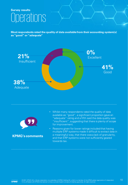**Most respondents rated the quality of data available from their accounting system(s) as "good" or "adequate"** 





- Whilst many respondents rated the quality of data available as "good", a significant proportion gave an "adequate" rating and a fifth said the data quality was "insufficient", suggesting that there is plenty of scope for improvement.
- Reasons given for lower ratings included that having multiple ERP systems made it difficult to extract data in a meaningful way, that there was a lack of granularity, and that ERP systems were not sufficiently geared towards tax.

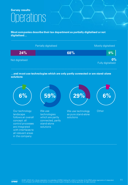**Most companies describe their tax department as partially digitalised or not digitalised…**



**…and most use technologies which are only partly connected or are stand-alone solutions**

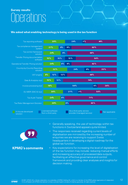#### **We asked what enabling technology is being used in the tax function**



- Generally speaking, the use of technology within tax functions in Switzerland appears quite limited.
	- The responses received regarding current levels of digitalisation are mirrored by the increasing number of enquiries we are receiving to support Swiss headquarters in developing a digital roadmap for the global tax function.
	- Key expectations for increasing the level of digitalisation of the tax function may include: reducing manual efforts and increasing accuracy of processed data outputs, facilitating an effective governance and control framework and providing clear analyses and insights for decision making.

12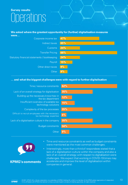#### **We asked where the greatest opportunity for (further) digitalisation measures**



#### **… and what the biggest challenges were with regard to further digitalisation**

| Time / resource constraints                                                   | 62% |
|-------------------------------------------------------------------------------|-----|
| Lack of an overall strategy for digitalisation                                | 35% |
| Building up the necessary know-how in<br>the tax department                   | 12% |
| Insufficient overview of available tax<br>technology solutions                | 15% |
| Complexity of the tax processes                                               | 35% |
| Difficult to recruit employees with the necessary<br>tax technology expertise | 6%  |
| Lack of a digitalisation culture in the company                               | 35% |
| <b>Budget constraints</b>                                                     | 56% |
| Other                                                                         |     |



- Time and resource constraints as well as budget constraints were mentioned as the most common challenges.
- Interestingly, more than a third of respondees stated that a lack of a digitalisation culture within the company and also a lack of an overall strategy with respect to digitalisation were challenges. We expect that working in COVID-19 times may accelerate and improve the level of digitalisation within companies in general.

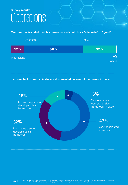#### **Most companies rated their tax processes and controls as "adequate" or "good"**



**Just over half of companies have a documented tax control framework in place**



14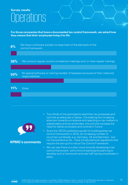**For those companies that have a documented tax control framework, we asked how they ensure that their employees bring it to life**





- Two thirds of the participants rated their tax processes and controls as adequate or below. Considering the increasing attention towards compliance and reporting on tax matters to stakeholders and tax authorities, this will only increase the need for better processes and controls in future.
- Since the OECD published a guide for building better tax control frameworks in 2016, an increasing number of countries worldwide, e.g. Germany, UK and Denmark – but not Switzerland so far – have introduced local regulations that require the set-up of a robust Tax Control Framework.
- We can see there is a clear trend towards developing a tax control framework, with a third of participants planning to develop such a framework and over half having one already in place.

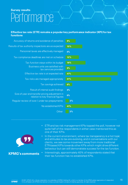### **Survey results Performance**

#### **Effective tax rate (ETR) remains a popular key performance indicator (KPI) for tax functions**

| Accuracy of returns and avoidance of penalties                                       | 9%  |
|--------------------------------------------------------------------------------------|-----|
| Results of tax authority inspections are as expected                                 | 15% |
| Personnel taxes are effectively managed                                              | 0%  |
| Tax compliance deadlines are met on schedule                                         | 12% |
| Tax function stays within its budget                                                 | 18% |
| Business units are satisfied with<br>tax services provided                           | 9%  |
| Effective tax rate is at expected rate                                               | 47% |
| Tax risks are managed appropriately                                                  | 41% |
| Tax savings achieved                                                                 | 6%  |
| Result of internal audit findings                                                    | 0%  |
| Size of year end transfer pricing adjustment in<br>relation to key financial figures | 0%  |
| Regular review of over / under tax prepayments                                       | 3%  |
| No established KPIs                                                                  | 41% |
| Other                                                                                | 3%  |
|                                                                                      |     |



- ETR and tax risk management KPIs topped the poll, however not quite half of the respondents in either case mentioned this as one of their KPIs.
- In the current environment, where tax transparency is a hot topic and attitudes to tax are evolving, and in conversations with our clients, we see some movement away from more traditional ETR-based KPIs towards other KPIs which might drive different behaviour but can still demonstrate success for the tax function.
- Interestingly, approximately 40% of respondents stated that **KPMG's comments**  $\cdot$  lnterestingly, approximately 40% of responent their tax function has no established KPIs.

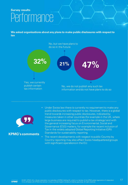### **Survey results** Performance

**We asked organisations about any plans to make public disclosures with respect to tax**





**KPMG's comments**

- Under Swiss law there is currently no requirement to make any public disclosures with respect to tax. However, there is a global trend towards increasing public disclosures, indicated by measures taken in other countries (for example in the UK, where large business are required to publish a tax strategy) and with the general increasing focus on Environmental, Social and Governance (ESG) matters, for example the recent inclusion of Tax in the widely adopted Global Reporting Initiative (GRI) Standards for sustainability reporting.
- The recent developments with respect to public Country by Country reporting may also affect Swiss headquartered groups with significant operations in the EU.

17

**KPMG**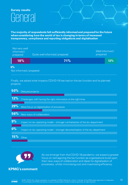### **Survey results** General

**The majority of respondents felt sufficiently informed and prepared for the future when considering how the world of tax is changing in terms of increased transparency, compliance and reporting obligations and digitalisation**

| Not very well<br>informed/<br>prepared | Quite well informed/prepared | Well informed /<br>prepared |
|----------------------------------------|------------------------------|-----------------------------|
| 18%                                    | 71%                          | 12%                         |

#### **0%**

Not informed / prepared

Finally, we asked what impacts COVID-19 has had on the tax function and its planned projects

| 50%   | Delayed projects                                                                |
|-------|---------------------------------------------------------------------------------|
| 12%   | Challenges with having the right information at the right time                  |
| 29%   | More focus on digitalisation of processes                                       |
| 56%   | New ways of collaboration                                                       |
| 9%    | Impact on tax operating model – stronger centralisation of the tax department   |
| $0\%$ | Impact on tax operating model – stronger decentralisation of the tax department |
| 15%   | Other                                                                           |



As we emerge from the COVID-19 pandemic, we expect a greater focus on reimagining the tax function as organisations build upon their new ways of collaboration and ideas for digitalisation of processes, whilst minimising cost and maximising efficiency.

18

#### **KPMG's comment**

**KPMG**